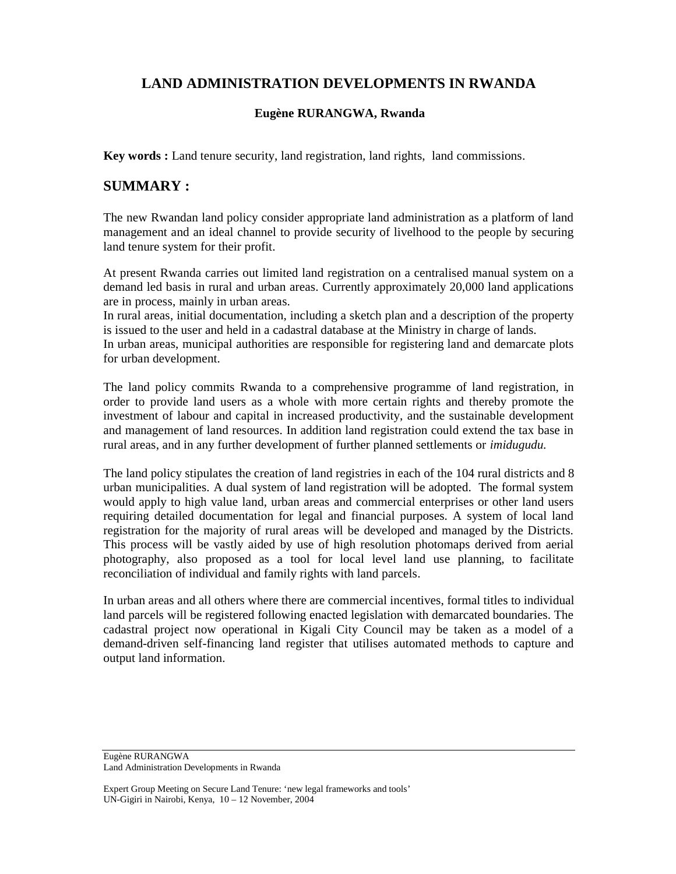# **LAND ADMINISTRATION DEVELOPMENTS IN RWANDA**

## **Eugène RURANGWA, Rwanda**

**Key words :** Land tenure security, land registration, land rights, land commissions.

## **SUMMARY :**

The new Rwandan land policy consider appropriate land administration as a platform of land management and an ideal channel to provide security of livelhood to the people by securing land tenure system for their profit.

At present Rwanda carries out limited land registration on a centralised manual system on a demand led basis in rural and urban areas. Currently approximately 20,000 land applications are in process, mainly in urban areas.

In rural areas, initial documentation, including a sketch plan and a description of the property is issued to the user and held in a cadastral database at the Ministry in charge of lands.

In urban areas, municipal authorities are responsible for registering land and demarcate plots for urban development.

The land policy commits Rwanda to a comprehensive programme of land registration, in order to provide land users as a whole with more certain rights and thereby promote the investment of labour and capital in increased productivity, and the sustainable development and management of land resources. In addition land registration could extend the tax base in rural areas, and in any further development of further planned settlements or *imidugudu.*

The land policy stipulates the creation of land registries in each of the 104 rural districts and 8 urban municipalities. A dual system of land registration will be adopted. The formal system would apply to high value land, urban areas and commercial enterprises or other land users requiring detailed documentation for legal and financial purposes. A system of local land registration for the majority of rural areas will be developed and managed by the Districts. This process will be vastly aided by use of high resolution photomaps derived from aerial photography, also proposed as a tool for local level land use planning, to facilitate reconciliation of individual and family rights with land parcels.

In urban areas and all others where there are commercial incentives, formal titles to individual land parcels will be registered following enacted legislation with demarcated boundaries. The cadastral project now operational in Kigali City Council may be taken as a model of a demand-driven self-financing land register that utilises automated methods to capture and output land information.

Eugène RURANGWA Land Administration Developments in Rwanda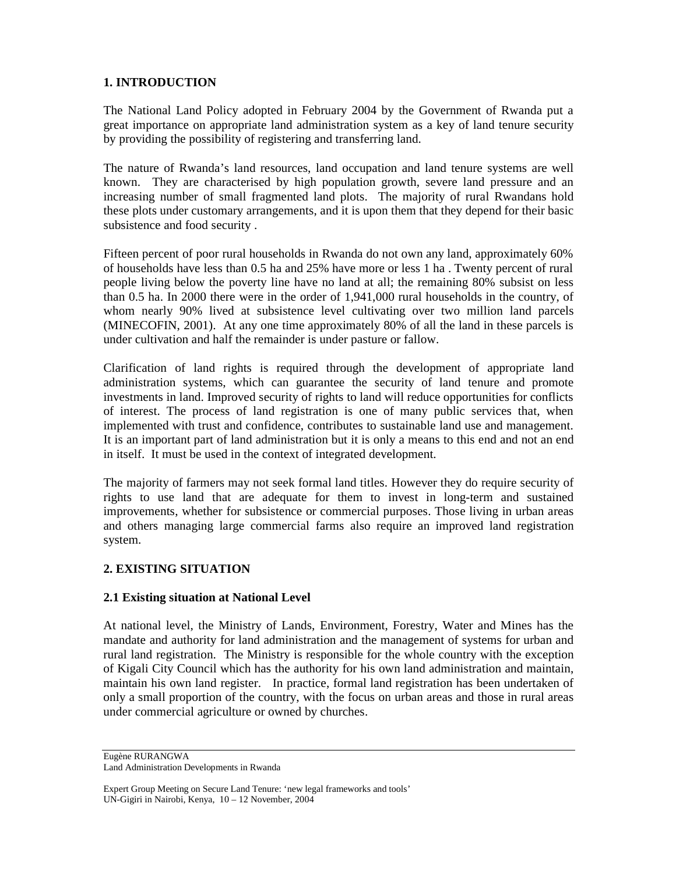## **1. INTRODUCTION**

The National Land Policy adopted in February 2004 by the Government of Rwanda put a great importance on appropriate land administration system as a key of land tenure security by providing the possibility of registering and transferring land.

The nature of Rwanda's land resources, land occupation and land tenure systems are well known. They are characterised by high population growth, severe land pressure and an increasing number of small fragmented land plots. The majority of rural Rwandans hold these plots under customary arrangements, and it is upon them that they depend for their basic subsistence and food security .

Fifteen percent of poor rural households in Rwanda do not own any land, approximately 60% of households have less than 0.5 ha and 25% have more or less 1 ha . Twenty percent of rural people living below the poverty line have no land at all; the remaining 80% subsist on less than 0.5 ha. In 2000 there were in the order of 1,941,000 rural households in the country, of whom nearly 90% lived at subsistence level cultivating over two million land parcels (MINECOFIN, 2001). At any one time approximately 80% of all the land in these parcels is under cultivation and half the remainder is under pasture or fallow.

Clarification of land rights is required through the development of appropriate land administration systems, which can guarantee the security of land tenure and promote investments in land. Improved security of rights to land will reduce opportunities for conflicts of interest. The process of land registration is one of many public services that, when implemented with trust and confidence, contributes to sustainable land use and management. It is an important part of land administration but it is only a means to this end and not an end in itself. It must be used in the context of integrated development.

The majority of farmers may not seek formal land titles. However they do require security of rights to use land that are adequate for them to invest in long-term and sustained improvements, whether for subsistence or commercial purposes. Those living in urban areas and others managing large commercial farms also require an improved land registration system.

## **2. EXISTING SITUATION**

## **2.1 Existing situation at National Level**

At national level, the Ministry of Lands, Environment, Forestry, Water and Mines has the mandate and authority for land administration and the management of systems for urban and rural land registration. The Ministry is responsible for the whole country with the exception of Kigali City Council which has the authority for his own land administration and maintain, maintain his own land register. In practice, formal land registration has been undertaken of only a small proportion of the country, with the focus on urban areas and those in rural areas under commercial agriculture or owned by churches.

Eugène RURANGWA Land Administration Developments in Rwanda

Expert Group Meeting on Secure Land Tenure: 'new legal frameworks and tools' UN-Gigiri in Nairobi, Kenya, 10 – 12 November, 2004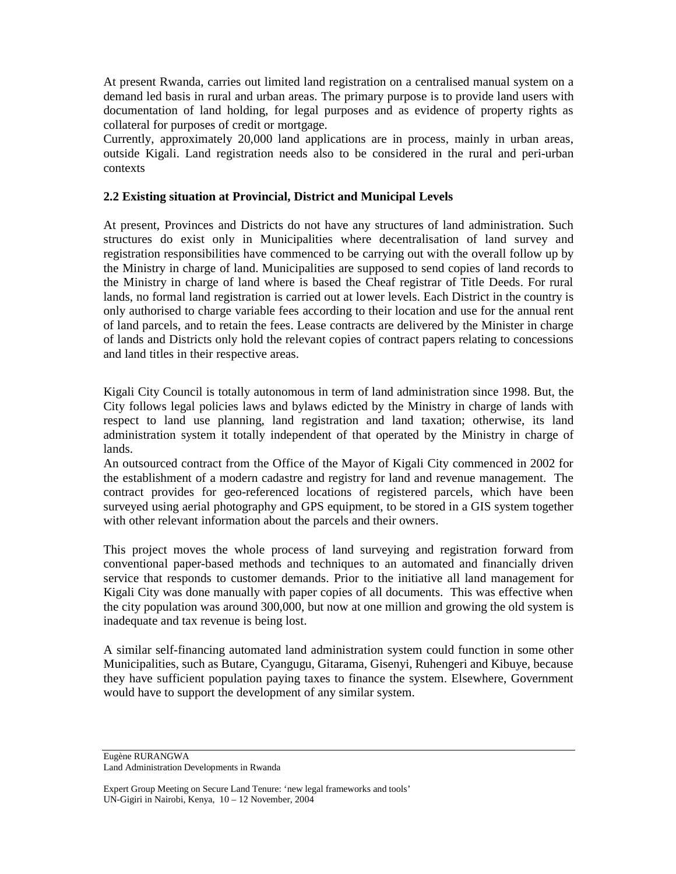At present Rwanda, carries out limited land registration on a centralised manual system on a demand led basis in rural and urban areas. The primary purpose is to provide land users with documentation of land holding, for legal purposes and as evidence of property rights as collateral for purposes of credit or mortgage.

Currently, approximately 20,000 land applications are in process, mainly in urban areas, outside Kigali. Land registration needs also to be considered in the rural and peri-urban contexts

#### **2.2 Existing situation at Provincial, District and Municipal Levels**

At present, Provinces and Districts do not have any structures of land administration. Such structures do exist only in Municipalities where decentralisation of land survey and registration responsibilities have commenced to be carrying out with the overall follow up by the Ministry in charge of land. Municipalities are supposed to send copies of land records to the Ministry in charge of land where is based the Cheaf registrar of Title Deeds. For rural lands, no formal land registration is carried out at lower levels. Each District in the country is only authorised to charge variable fees according to their location and use for the annual rent of land parcels, and to retain the fees. Lease contracts are delivered by the Minister in charge of lands and Districts only hold the relevant copies of contract papers relating to concessions and land titles in their respective areas.

Kigali City Council is totally autonomous in term of land administration since 1998. But, the City follows legal policies laws and bylaws edicted by the Ministry in charge of lands with respect to land use planning, land registration and land taxation; otherwise, its land administration system it totally independent of that operated by the Ministry in charge of lands.

An outsourced contract from the Office of the Mayor of Kigali City commenced in 2002 for the establishment of a modern cadastre and registry for land and revenue management. The contract provides for geo-referenced locations of registered parcels, which have been surveyed using aerial photography and GPS equipment, to be stored in a GIS system together with other relevant information about the parcels and their owners.

This project moves the whole process of land surveying and registration forward from conventional paper-based methods and techniques to an automated and financially driven service that responds to customer demands. Prior to the initiative all land management for Kigali City was done manually with paper copies of all documents. This was effective when the city population was around 300,000, but now at one million and growing the old system is inadequate and tax revenue is being lost.

A similar self-financing automated land administration system could function in some other Municipalities, such as Butare, Cyangugu, Gitarama, Gisenyi, Ruhengeri and Kibuye, because they have sufficient population paying taxes to finance the system. Elsewhere, Government would have to support the development of any similar system.

Eugène RURANGWA Land Administration Developments in Rwanda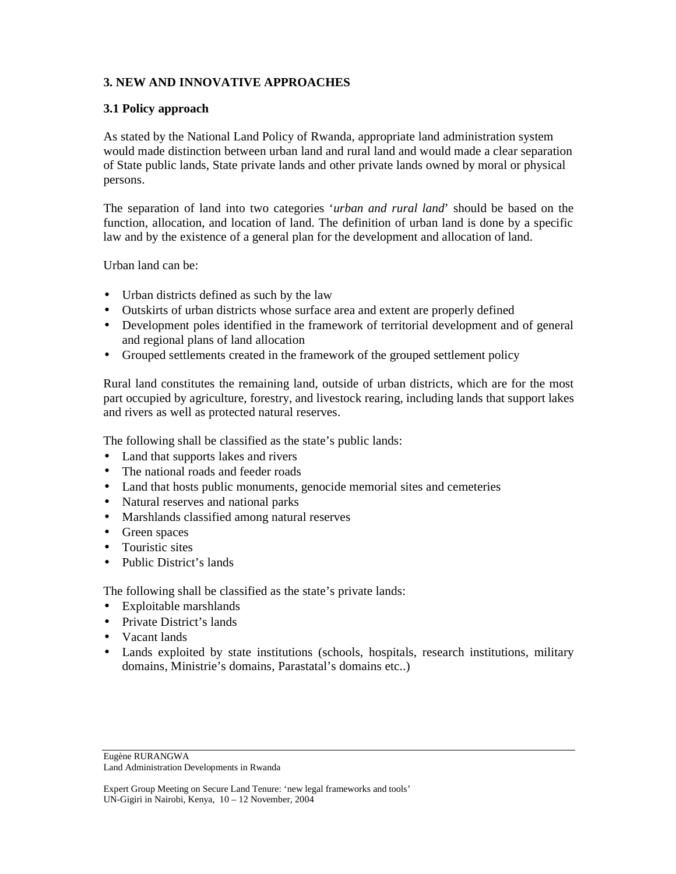## **3. NEW AND INNOVATIVE APPROACHES**

#### **3.1 Policy approach**

As stated by the National Land Policy of Rwanda, appropriate land administration system would made distinction between urban land and rural land and would made a clear separation of State public lands, State private lands and other private lands owned by moral or physical persons.

The separation of land into two categories '*urban and rural land*' should be based on the function, allocation, and location of land. The definition of urban land is done by a specific law and by the existence of a general plan for the development and allocation of land.

Urban land can be:

- Urban districts defined as such by the law
- Outskirts of urban districts whose surface area and extent are properly defined
- Development poles identified in the framework of territorial development and of general and regional plans of land allocation
- Grouped settlements created in the framework of the grouped settlement policy

Rural land constitutes the remaining land, outside of urban districts, which are for the most part occupied by agriculture, forestry, and livestock rearing, including lands that support lakes and rivers as well as protected natural reserves.

The following shall be classified as the state's public lands:

- Land that supports lakes and rivers
- The national roads and feeder roads
- Land that hosts public monuments, genocide memorial sites and cemeteries
- Natural reserves and national parks
- Marshlands classified among natural reserves
- Green spaces
- Touristic sites
- Public District's lands

The following shall be classified as the state's private lands:

- Exploitable marshlands
- Private District's lands
- Vacant lands
- Lands exploited by state institutions (schools, hospitals, research institutions, military domains, Ministrie's domains, Parastatal's domains etc..)

Eugène RURANGWA Land Administration Developments in Rwanda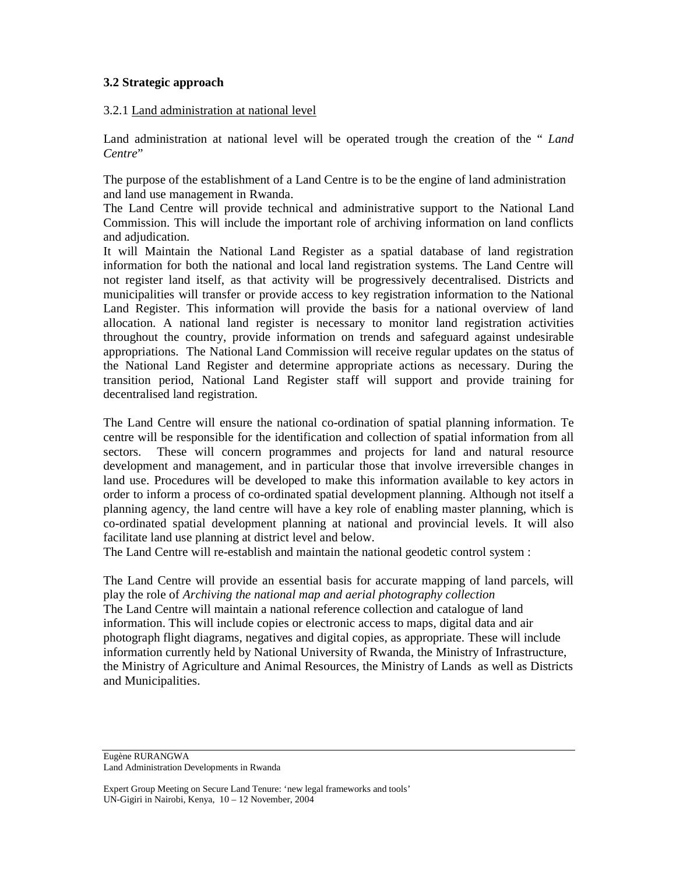### **3.2 Strategic approach**

#### 3.2.1 Land administration at national level

Land administration at national level will be operated trough the creation of the " *Land Centre*"

The purpose of the establishment of a Land Centre is to be the engine of land administration and land use management in Rwanda.

The Land Centre will provide technical and administrative support to the National Land Commission. This will include the important role of archiving information on land conflicts and adjudication.

It will Maintain the National Land Register as a spatial database of land registration information for both the national and local land registration systems. The Land Centre will not register land itself, as that activity will be progressively decentralised. Districts and municipalities will transfer or provide access to key registration information to the National Land Register. This information will provide the basis for a national overview of land allocation. A national land register is necessary to monitor land registration activities throughout the country, provide information on trends and safeguard against undesirable appropriations. The National Land Commission will receive regular updates on the status of the National Land Register and determine appropriate actions as necessary. During the transition period, National Land Register staff will support and provide training for decentralised land registration.

The Land Centre will ensure the national co-ordination of spatial planning information. Te centre will be responsible for the identification and collection of spatial information from all sectors. These will concern programmes and projects for land and natural resource development and management, and in particular those that involve irreversible changes in land use. Procedures will be developed to make this information available to key actors in order to inform a process of co-ordinated spatial development planning. Although not itself a planning agency, the land centre will have a key role of enabling master planning, which is co-ordinated spatial development planning at national and provincial levels. It will also facilitate land use planning at district level and below.

The Land Centre will re-establish and maintain the national geodetic control system :

The Land Centre will provide an essential basis for accurate mapping of land parcels, will play the role of *Archiving the national map and aerial photography collection*  The Land Centre will maintain a national reference collection and catalogue of land information. This will include copies or electronic access to maps, digital data and air photograph flight diagrams, negatives and digital copies, as appropriate. These will include information currently held by National University of Rwanda, the Ministry of Infrastructure, the Ministry of Agriculture and Animal Resources, the Ministry of Lands as well as Districts and Municipalities.

Eugène RURANGWA Land Administration Developments in Rwanda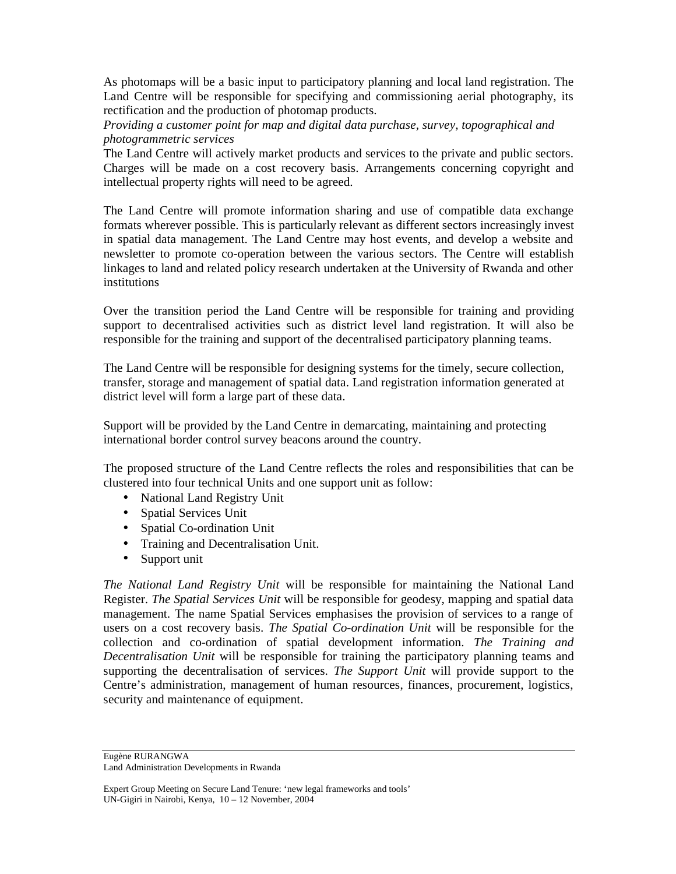As photomaps will be a basic input to participatory planning and local land registration. The Land Centre will be responsible for specifying and commissioning aerial photography, its rectification and the production of photomap products.

*Providing a customer point for map and digital data purchase, survey, topographical and photogrammetric services* 

The Land Centre will actively market products and services to the private and public sectors. Charges will be made on a cost recovery basis. Arrangements concerning copyright and intellectual property rights will need to be agreed.

The Land Centre will promote information sharing and use of compatible data exchange formats wherever possible. This is particularly relevant as different sectors increasingly invest in spatial data management. The Land Centre may host events, and develop a website and newsletter to promote co-operation between the various sectors. The Centre will establish linkages to land and related policy research undertaken at the University of Rwanda and other institutions

Over the transition period the Land Centre will be responsible for training and providing support to decentralised activities such as district level land registration. It will also be responsible for the training and support of the decentralised participatory planning teams.

The Land Centre will be responsible for designing systems for the timely, secure collection, transfer, storage and management of spatial data. Land registration information generated at district level will form a large part of these data.

Support will be provided by the Land Centre in demarcating, maintaining and protecting international border control survey beacons around the country.

The proposed structure of the Land Centre reflects the roles and responsibilities that can be clustered into four technical Units and one support unit as follow:

- National Land Registry Unit
- Spatial Services Unit
- Spatial Co-ordination Unit
- Training and Decentralisation Unit.
- Support unit

*The National Land Registry Unit* will be responsible for maintaining the National Land Register. *The Spatial Services Unit* will be responsible for geodesy, mapping and spatial data management. The name Spatial Services emphasises the provision of services to a range of users on a cost recovery basis. *The Spatial Co-ordination Unit* will be responsible for the collection and co-ordination of spatial development information. *The Training and Decentralisation Unit* will be responsible for training the participatory planning teams and supporting the decentralisation of services. *The Support Unit* will provide support to the Centre's administration, management of human resources, finances, procurement, logistics, security and maintenance of equipment.

Eugène RURANGWA Land Administration Developments in Rwanda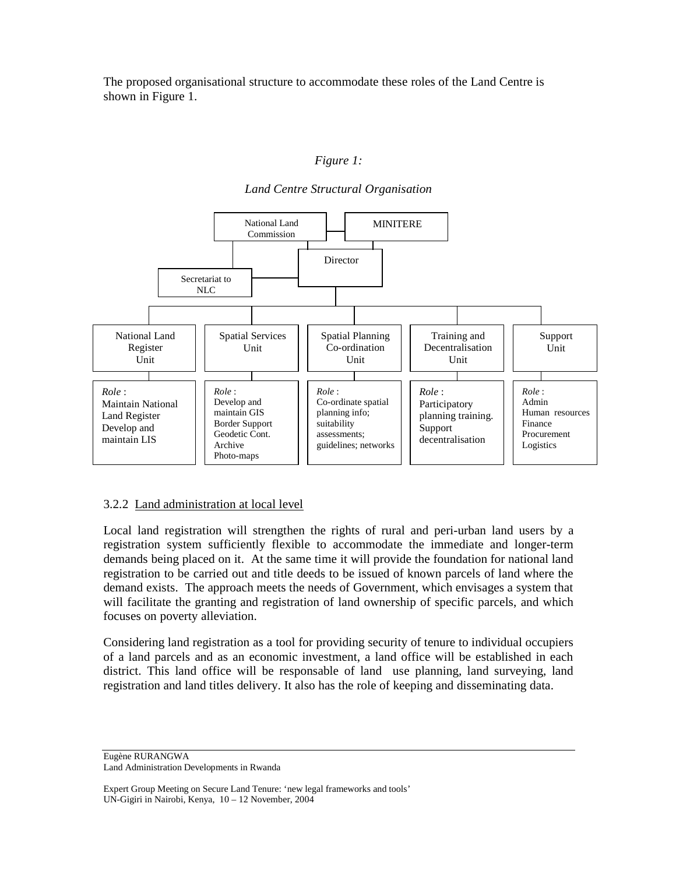The proposed organisational structure to accommodate these roles of the Land Centre is shown in Figure 1.

#### *Figure 1:*

*Land Centre Structural Organisation* 



#### 3.2.2 Land administration at local level

Local land registration will strengthen the rights of rural and peri-urban land users by a registration system sufficiently flexible to accommodate the immediate and longer-term demands being placed on it. At the same time it will provide the foundation for national land registration to be carried out and title deeds to be issued of known parcels of land where the demand exists. The approach meets the needs of Government, which envisages a system that will facilitate the granting and registration of land ownership of specific parcels, and which focuses on poverty alleviation.

Considering land registration as a tool for providing security of tenure to individual occupiers of a land parcels and as an economic investment, a land office will be established in each district. This land office will be responsable of land use planning, land surveying, land registration and land titles delivery. It also has the role of keeping and disseminating data.

Eugène RURANGWA Land Administration Developments in Rwanda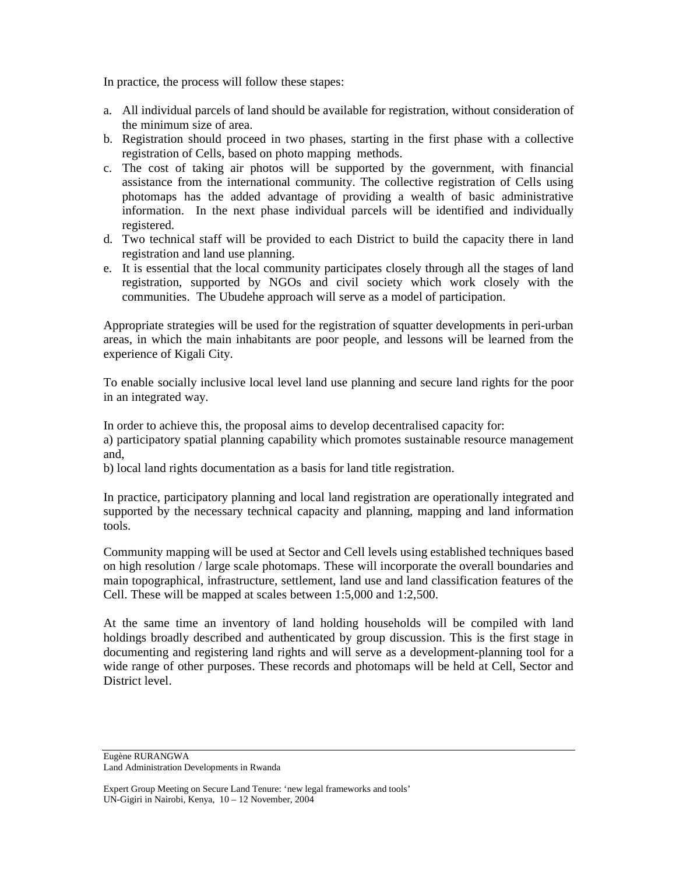In practice, the process will follow these stapes:

- a. All individual parcels of land should be available for registration, without consideration of the minimum size of area.
- b. Registration should proceed in two phases, starting in the first phase with a collective registration of Cells, based on photo mapping methods.
- c. The cost of taking air photos will be supported by the government, with financial assistance from the international community. The collective registration of Cells using photomaps has the added advantage of providing a wealth of basic administrative information. In the next phase individual parcels will be identified and individually registered.
- d. Two technical staff will be provided to each District to build the capacity there in land registration and land use planning.
- e. It is essential that the local community participates closely through all the stages of land registration, supported by NGOs and civil society which work closely with the communities. The Ubudehe approach will serve as a model of participation.

Appropriate strategies will be used for the registration of squatter developments in peri-urban areas, in which the main inhabitants are poor people, and lessons will be learned from the experience of Kigali City.

To enable socially inclusive local level land use planning and secure land rights for the poor in an integrated way.

In order to achieve this, the proposal aims to develop decentralised capacity for:

a) participatory spatial planning capability which promotes sustainable resource management and,

b) local land rights documentation as a basis for land title registration.

In practice, participatory planning and local land registration are operationally integrated and supported by the necessary technical capacity and planning, mapping and land information tools.

Community mapping will be used at Sector and Cell levels using established techniques based on high resolution / large scale photomaps. These will incorporate the overall boundaries and main topographical, infrastructure, settlement, land use and land classification features of the Cell. These will be mapped at scales between 1:5,000 and 1:2,500.

At the same time an inventory of land holding households will be compiled with land holdings broadly described and authenticated by group discussion. This is the first stage in documenting and registering land rights and will serve as a development-planning tool for a wide range of other purposes. These records and photomaps will be held at Cell, Sector and District level.

Eugène RURANGWA Land Administration Developments in Rwanda

Expert Group Meeting on Secure Land Tenure: 'new legal frameworks and tools' UN-Gigiri in Nairobi, Kenya, 10 – 12 November, 2004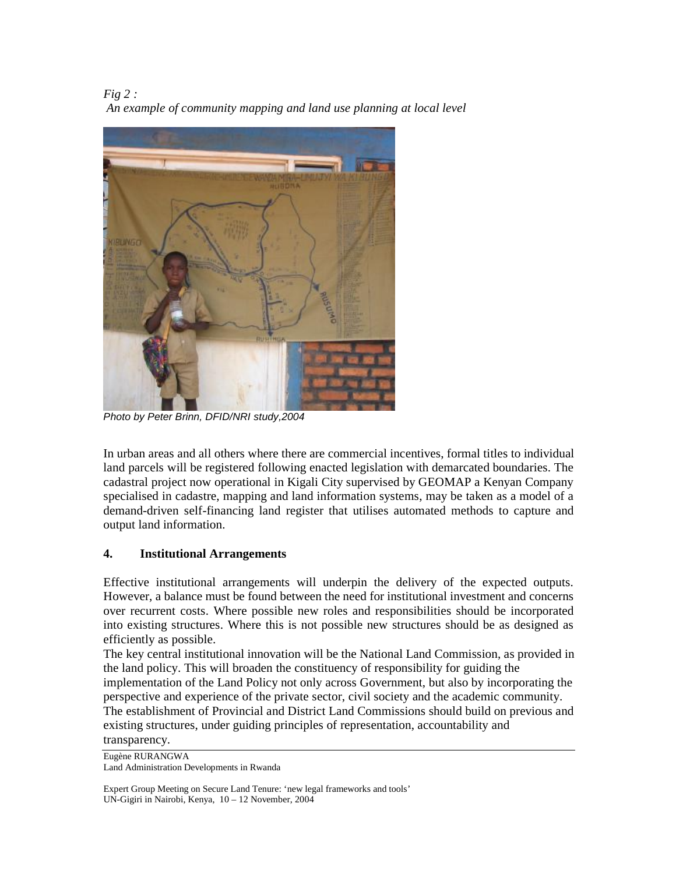*Fig 2 : An example of community mapping and land use planning at local level* 



*Photo by Peter Brinn, DFID/NRI study,2004* 

In urban areas and all others where there are commercial incentives, formal titles to individual land parcels will be registered following enacted legislation with demarcated boundaries. The cadastral project now operational in Kigali City supervised by GEOMAP a Kenyan Company specialised in cadastre, mapping and land information systems, may be taken as a model of a demand-driven self-financing land register that utilises automated methods to capture and output land information.

## **4. Institutional Arrangements**

Effective institutional arrangements will underpin the delivery of the expected outputs. However, a balance must be found between the need for institutional investment and concerns over recurrent costs. Where possible new roles and responsibilities should be incorporated into existing structures. Where this is not possible new structures should be as designed as efficiently as possible.

The key central institutional innovation will be the National Land Commission, as provided in the land policy. This will broaden the constituency of responsibility for guiding the

implementation of the Land Policy not only across Government, but also by incorporating the perspective and experience of the private sector, civil society and the academic community.

The establishment of Provincial and District Land Commissions should build on previous and existing structures, under guiding principles of representation, accountability and

transparency.

Eugène RURANGWA Land Administration Developments in Rwanda